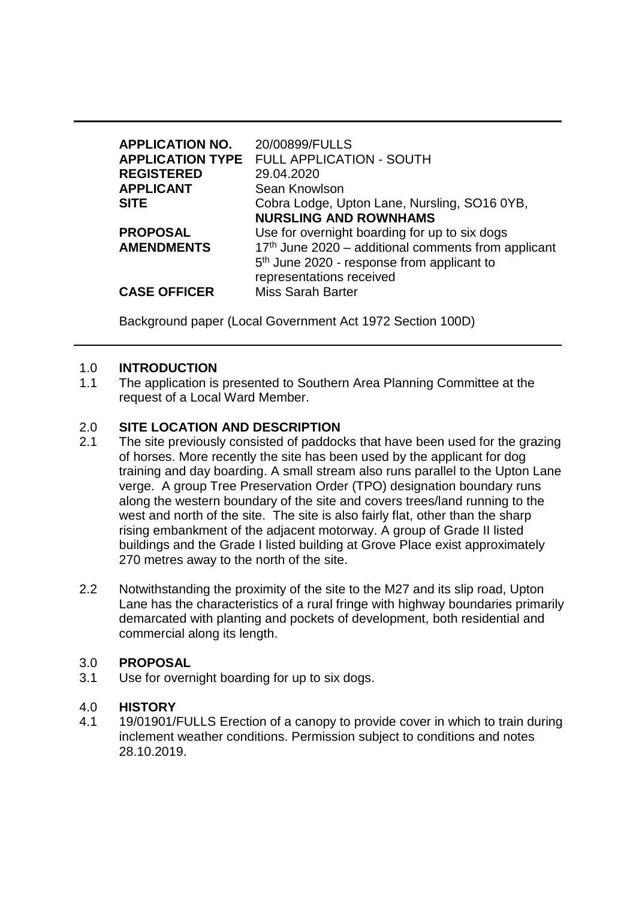| <b>APPLICATION NO.</b><br><b>REGISTERED</b><br><b>APPLICANT</b><br><b>SITE</b> | 20/00899/FULLS<br><b>APPLICATION TYPE FULL APPLICATION - SOUTH</b><br>29.04.2020<br>Sean Knowlson<br>Cobra Lodge, Upton Lane, Nursling, SO16 0YB,<br><b>NURSLING AND ROWNHAMS</b>                                      |
|--------------------------------------------------------------------------------|------------------------------------------------------------------------------------------------------------------------------------------------------------------------------------------------------------------------|
| <b>PROPOSAL</b><br><b>AMENDMENTS</b><br><b>CASE OFFICER</b>                    | Use for overnight boarding for up to six dogs<br>17th June 2020 - additional comments from applicant<br>5 <sup>th</sup> June 2020 - response from applicant to<br>representations received<br><b>Miss Sarah Barter</b> |

Background paper (Local Government Act 1972 Section 100D)

### 1.0 **INTRODUCTION**

1.1 The application is presented to Southern Area Planning Committee at the request of a Local Ward Member.

### 2.0 **SITE LOCATION AND DESCRIPTION**

- 2.1 The site previously consisted of paddocks that have been used for the grazing of horses. More recently the site has been used by the applicant for dog training and day boarding. A small stream also runs parallel to the Upton Lane verge. A group Tree Preservation Order (TPO) designation boundary runs along the western boundary of the site and covers trees/land running to the west and north of the site. The site is also fairly flat, other than the sharp rising embankment of the adjacent motorway. A group of Grade II listed buildings and the Grade I listed building at Grove Place exist approximately 270 metres away to the north of the site.
- 2.2 Notwithstanding the proximity of the site to the M27 and its slip road, Upton Lane has the characteristics of a rural fringe with highway boundaries primarily demarcated with planting and pockets of development, both residential and commercial along its length.

### 3.0 **PROPOSAL**

3.1 Use for overnight boarding for up to six dogs.

### 4.0 **HISTORY**

4.1 19/01901/FULLS Erection of a canopy to provide cover in which to train during inclement weather conditions. Permission subject to conditions and notes 28.10.2019.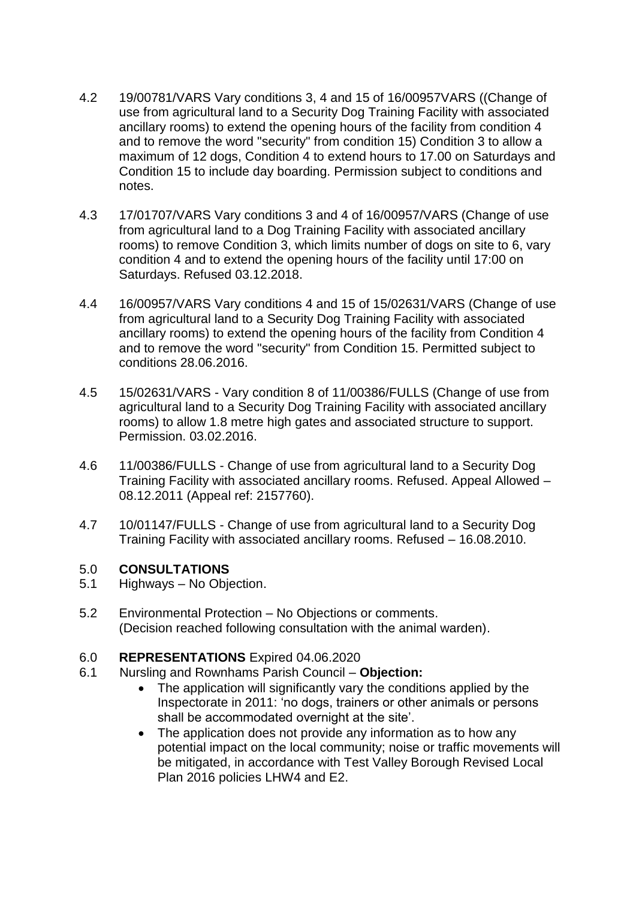- 4.2 19/00781/VARS Vary conditions 3, 4 and 15 of 16/00957VARS ((Change of use from agricultural land to a Security Dog Training Facility with associated ancillary rooms) to extend the opening hours of the facility from condition 4 and to remove the word "security" from condition 15) Condition 3 to allow a maximum of 12 dogs, Condition 4 to extend hours to 17.00 on Saturdays and Condition 15 to include day boarding. Permission subject to conditions and notes.
- 4.3 17/01707/VARS Vary conditions 3 and 4 of 16/00957/VARS (Change of use from agricultural land to a Dog Training Facility with associated ancillary rooms) to remove Condition 3, which limits number of dogs on site to 6, vary condition 4 and to extend the opening hours of the facility until 17:00 on Saturdays. Refused 03.12.2018.
- 4.4 16/00957/VARS Vary conditions 4 and 15 of 15/02631/VARS (Change of use from agricultural land to a Security Dog Training Facility with associated ancillary rooms) to extend the opening hours of the facility from Condition 4 and to remove the word "security" from Condition 15. Permitted subject to conditions 28.06.2016.
- 4.5 15/02631/VARS Vary condition 8 of 11/00386/FULLS (Change of use from agricultural land to a Security Dog Training Facility with associated ancillary rooms) to allow 1.8 metre high gates and associated structure to support. Permission. 03.02.2016.
- 4.6 11/00386/FULLS Change of use from agricultural land to a Security Dog Training Facility with associated ancillary rooms. Refused. Appeal Allowed – 08.12.2011 (Appeal ref: 2157760).
- 4.7 10/01147/FULLS Change of use from agricultural land to a Security Dog Training Facility with associated ancillary rooms. Refused – 16.08.2010.

### 5.0 **CONSULTATIONS**

- 5.1 Highways No Objection.
- 5.2 Environmental Protection No Objections or comments. (Decision reached following consultation with the animal warden).

### 6.0 **REPRESENTATIONS** Expired 04.06.2020

- 6.1 Nursling and Rownhams Parish Council **Objection:**
	- The application will significantly vary the conditions applied by the Inspectorate in 2011: 'no dogs, trainers or other animals or persons shall be accommodated overnight at the site'.
	- The application does not provide any information as to how any potential impact on the local community; noise or traffic movements will be mitigated, in accordance with Test Valley Borough Revised Local Plan 2016 policies LHW4 and E2.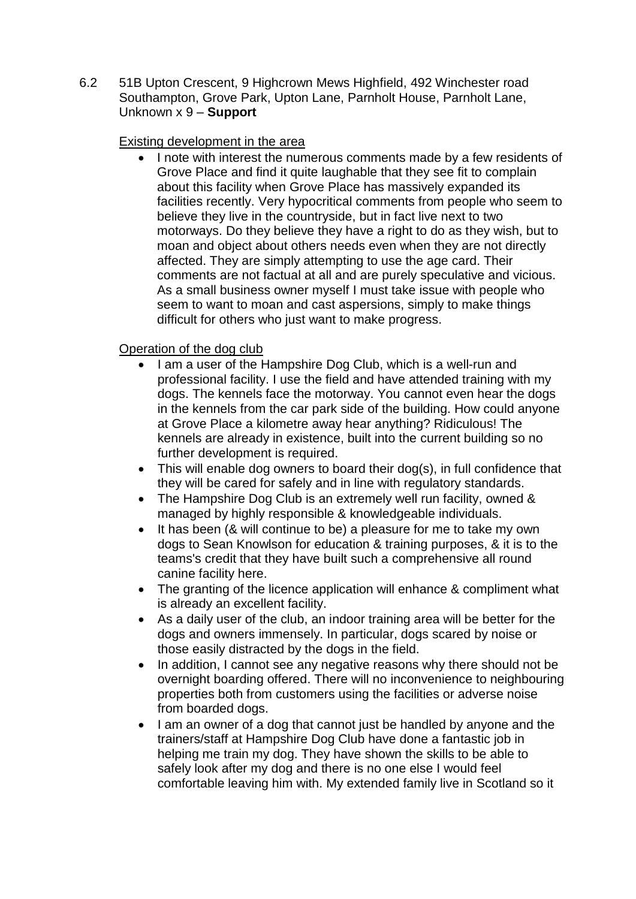6.2 51B Upton Crescent, 9 Highcrown Mews Highfield, 492 Winchester road Southampton, Grove Park, Upton Lane, Parnholt House, Parnholt Lane, Unknown x 9 – **Support**

### Existing development in the area

• I note with interest the numerous comments made by a few residents of Grove Place and find it quite laughable that they see fit to complain about this facility when Grove Place has massively expanded its facilities recently. Very hypocritical comments from people who seem to believe they live in the countryside, but in fact live next to two motorways. Do they believe they have a right to do as they wish, but to moan and object about others needs even when they are not directly affected. They are simply attempting to use the age card. Their comments are not factual at all and are purely speculative and vicious. As a small business owner myself I must take issue with people who seem to want to moan and cast aspersions, simply to make things difficult for others who just want to make progress.

### Operation of the dog club

- I am a user of the Hampshire Dog Club, which is a well-run and professional facility. I use the field and have attended training with my dogs. The kennels face the motorway. You cannot even hear the dogs in the kennels from the car park side of the building. How could anyone at Grove Place a kilometre away hear anything? Ridiculous! The kennels are already in existence, built into the current building so no further development is required.
- This will enable dog owners to board their dog(s), in full confidence that they will be cared for safely and in line with regulatory standards.
- The Hampshire Dog Club is an extremely well run facility, owned & managed by highly responsible & knowledgeable individuals.
- It has been (& will continue to be) a pleasure for me to take my own dogs to Sean Knowlson for education & training purposes, & it is to the teams's credit that they have built such a comprehensive all round canine facility here.
- The granting of the licence application will enhance & compliment what is already an excellent facility.
- As a daily user of the club, an indoor training area will be better for the dogs and owners immensely. In particular, dogs scared by noise or those easily distracted by the dogs in the field.
- In addition, I cannot see any negative reasons why there should not be overnight boarding offered. There will no inconvenience to neighbouring properties both from customers using the facilities or adverse noise from boarded dogs.
- I am an owner of a dog that cannot just be handled by anyone and the trainers/staff at Hampshire Dog Club have done a fantastic job in helping me train my dog. They have shown the skills to be able to safely look after my dog and there is no one else I would feel comfortable leaving him with. My extended family live in Scotland so it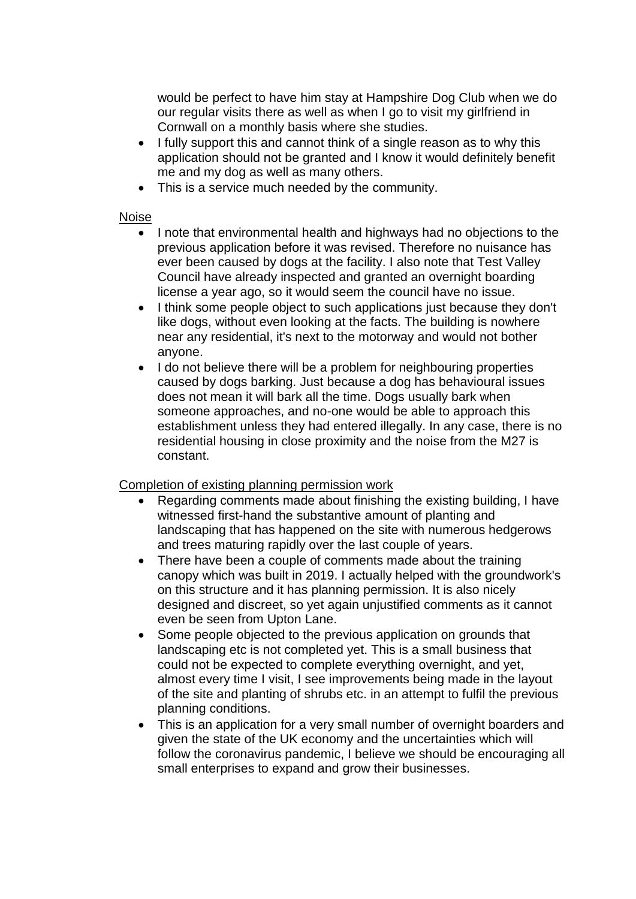would be perfect to have him stay at Hampshire Dog Club when we do our regular visits there as well as when I go to visit my girlfriend in Cornwall on a monthly basis where she studies.

- I fully support this and cannot think of a single reason as to why this application should not be granted and I know it would definitely benefit me and my dog as well as many others.
- This is a service much needed by the community.

#### Noise

- I note that environmental health and highways had no objections to the previous application before it was revised. Therefore no nuisance has ever been caused by dogs at the facility. I also note that Test Valley Council have already inspected and granted an overnight boarding license a year ago, so it would seem the council have no issue.
- I think some people object to such applications just because they don't like dogs, without even looking at the facts. The building is nowhere near any residential, it's next to the motorway and would not bother anyone.
- I do not believe there will be a problem for neighbouring properties caused by dogs barking. Just because a dog has behavioural issues does not mean it will bark all the time. Dogs usually bark when someone approaches, and no-one would be able to approach this establishment unless they had entered illegally. In any case, there is no residential housing in close proximity and the noise from the M27 is constant.

### Completion of existing planning permission work

- Regarding comments made about finishing the existing building, I have witnessed first-hand the substantive amount of planting and landscaping that has happened on the site with numerous hedgerows and trees maturing rapidly over the last couple of years.
- There have been a couple of comments made about the training canopy which was built in 2019. I actually helped with the groundwork's on this structure and it has planning permission. It is also nicely designed and discreet, so yet again unjustified comments as it cannot even be seen from Upton Lane.
- Some people objected to the previous application on grounds that landscaping etc is not completed yet. This is a small business that could not be expected to complete everything overnight, and yet, almost every time I visit, I see improvements being made in the layout of the site and planting of shrubs etc. in an attempt to fulfil the previous planning conditions.
- This is an application for a very small number of overnight boarders and given the state of the UK economy and the uncertainties which will follow the coronavirus pandemic, I believe we should be encouraging all small enterprises to expand and grow their businesses.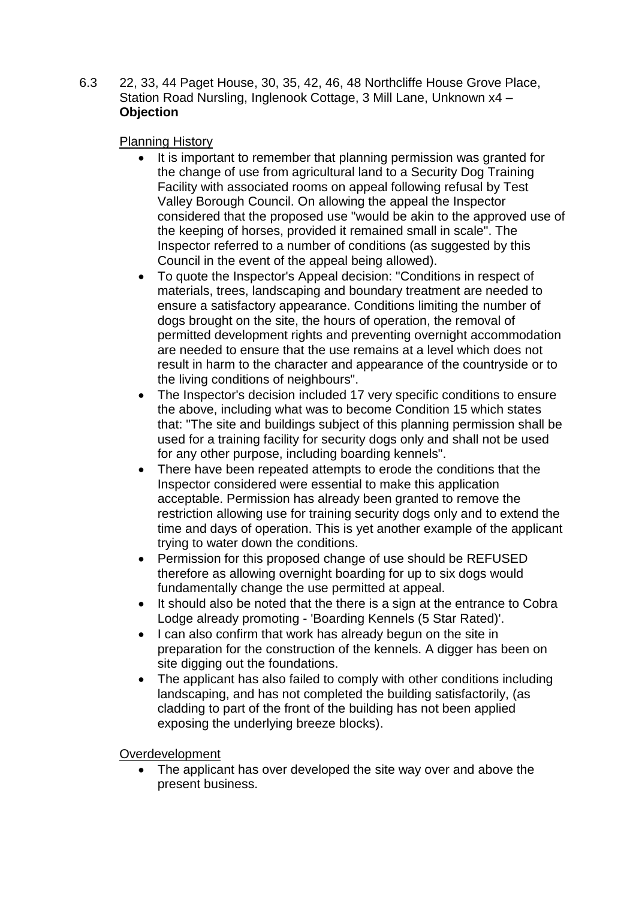6.3 22, 33, 44 Paget House, 30, 35, 42, 46, 48 Northcliffe House Grove Place, Station Road Nursling, Inglenook Cottage, 3 Mill Lane, Unknown x4 – **Objection**

### Planning History

- It is important to remember that planning permission was granted for the change of use from agricultural land to a Security Dog Training Facility with associated rooms on appeal following refusal by Test Valley Borough Council. On allowing the appeal the Inspector considered that the proposed use "would be akin to the approved use of the keeping of horses, provided it remained small in scale". The Inspector referred to a number of conditions (as suggested by this Council in the event of the appeal being allowed).
- To quote the Inspector's Appeal decision: "Conditions in respect of materials, trees, landscaping and boundary treatment are needed to ensure a satisfactory appearance. Conditions limiting the number of dogs brought on the site, the hours of operation, the removal of permitted development rights and preventing overnight accommodation are needed to ensure that the use remains at a level which does not result in harm to the character and appearance of the countryside or to the living conditions of neighbours".
- The Inspector's decision included 17 very specific conditions to ensure the above, including what was to become Condition 15 which states that: "The site and buildings subject of this planning permission shall be used for a training facility for security dogs only and shall not be used for any other purpose, including boarding kennels".
- There have been repeated attempts to erode the conditions that the Inspector considered were essential to make this application acceptable. Permission has already been granted to remove the restriction allowing use for training security dogs only and to extend the time and days of operation. This is yet another example of the applicant trying to water down the conditions.
- Permission for this proposed change of use should be REFUSED therefore as allowing overnight boarding for up to six dogs would fundamentally change the use permitted at appeal.
- It should also be noted that the there is a sign at the entrance to Cobra Lodge already promoting - 'Boarding Kennels (5 Star Rated)'.
- I can also confirm that work has already begun on the site in preparation for the construction of the kennels. A digger has been on site digging out the foundations.
- The applicant has also failed to comply with other conditions including landscaping, and has not completed the building satisfactorily, (as cladding to part of the front of the building has not been applied exposing the underlying breeze blocks).

### Overdevelopment

• The applicant has over developed the site way over and above the present business.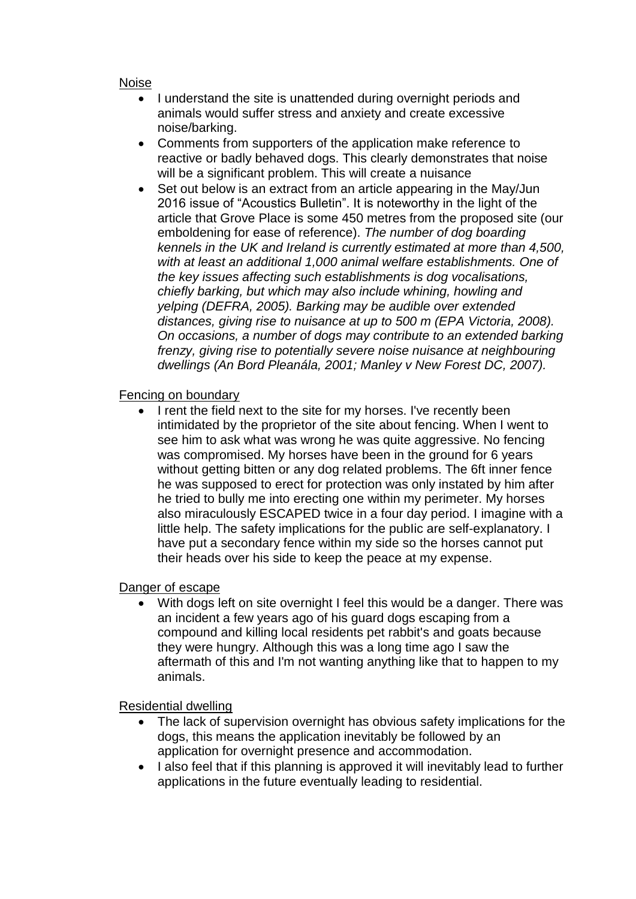#### Noise

- I understand the site is unattended during overnight periods and animals would suffer stress and anxiety and create excessive noise/barking.
- Comments from supporters of the application make reference to reactive or badly behaved dogs. This clearly demonstrates that noise will be a significant problem. This will create a nuisance
- Set out below is an extract from an article appearing in the May/Jun 2016 issue of "Acoustics Bulletin". It is noteworthy in the light of the article that Grove Place is some 450 metres from the proposed site (our emboldening for ease of reference). *The number of dog boarding kennels in the UK and Ireland is currently estimated at more than 4,500, with at least an additional 1,000 animal welfare establishments. One of the key issues affecting such establishments is dog vocalisations, chiefly barking, but which may also include whining, howling and yelping (DEFRA, 2005). Barking may be audible over extended distances, giving rise to nuisance at up to 500 m (EPA Victoria, 2008). On occasions, a number of dogs may contribute to an extended barking frenzy, giving rise to potentially severe noise nuisance at neighbouring dwellings (An Bord Pleanála, 2001; Manley v New Forest DC, 2007).*

### Fencing on boundary

• I rent the field next to the site for my horses. I've recently been intimidated by the proprietor of the site about fencing. When I went to see him to ask what was wrong he was quite aggressive. No fencing was compromised. My horses have been in the ground for 6 years without getting bitten or any dog related problems. The 6ft inner fence he was supposed to erect for protection was only instated by him after he tried to bully me into erecting one within my perimeter. My horses also miraculously ESCAPED twice in a four day period. I imagine with a little help. The safety implications for the pubIic are self-explanatory. I have put a secondary fence within my side so the horses cannot put their heads over his side to keep the peace at my expense.

## Danger of escape

With dogs left on site overnight I feel this would be a danger. There was an incident a few years ago of his guard dogs escaping from a compound and killing local residents pet rabbit's and goats because they were hungry. Although this was a long time ago I saw the aftermath of this and I'm not wanting anything like that to happen to my animals.

## Residential dwelling

- The lack of supervision overnight has obvious safety implications for the dogs, this means the application inevitably be followed by an application for overnight presence and accommodation.
- I also feel that if this planning is approved it will inevitably lead to further applications in the future eventually leading to residential.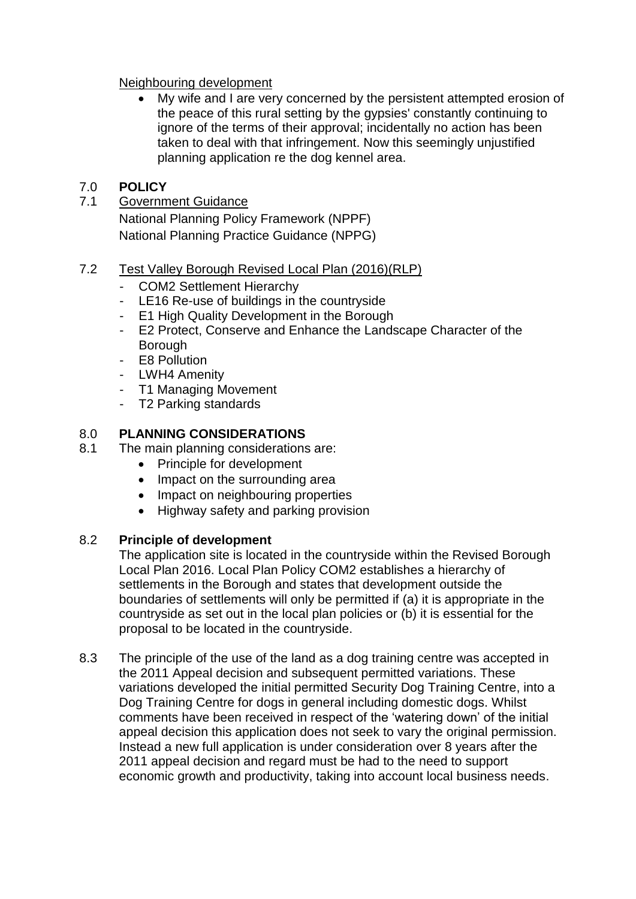### Neighbouring development

 My wife and I are very concerned by the persistent attempted erosion of the peace of this rural setting by the gypsies' constantly continuing to ignore of the terms of their approval; incidentally no action has been taken to deal with that infringement. Now this seemingly unjustified planning application re the dog kennel area.

# 7.0 **POLICY**

## 7.1 Government Guidance

National Planning Policy Framework (NPPF) National Planning Practice Guidance (NPPG)

## 7.2 Test Valley Borough Revised Local Plan (2016)(RLP)

- COM2 Settlement Hierarchy
- LE16 Re-use of buildings in the countryside
- E1 High Quality Development in the Borough
- E2 Protect, Conserve and Enhance the Landscape Character of the Borough
- E8 Pollution
- LWH4 Amenity
- T1 Managing Movement
- T2 Parking standards

# 8.0 **PLANNING CONSIDERATIONS**

- 8.1 The main planning considerations are:
	- Principle for development
	- Impact on the surrounding area
	- Impact on neighbouring properties
	- Highway safety and parking provision

# 8.2 **Principle of development**

The application site is located in the countryside within the Revised Borough Local Plan 2016. Local Plan Policy COM2 establishes a hierarchy of settlements in the Borough and states that development outside the boundaries of settlements will only be permitted if (a) it is appropriate in the countryside as set out in the local plan policies or (b) it is essential for the proposal to be located in the countryside.

8.3 The principle of the use of the land as a dog training centre was accepted in the 2011 Appeal decision and subsequent permitted variations. These variations developed the initial permitted Security Dog Training Centre, into a Dog Training Centre for dogs in general including domestic dogs. Whilst comments have been received in respect of the 'watering down' of the initial appeal decision this application does not seek to vary the original permission. Instead a new full application is under consideration over 8 years after the 2011 appeal decision and regard must be had to the need to support economic growth and productivity, taking into account local business needs.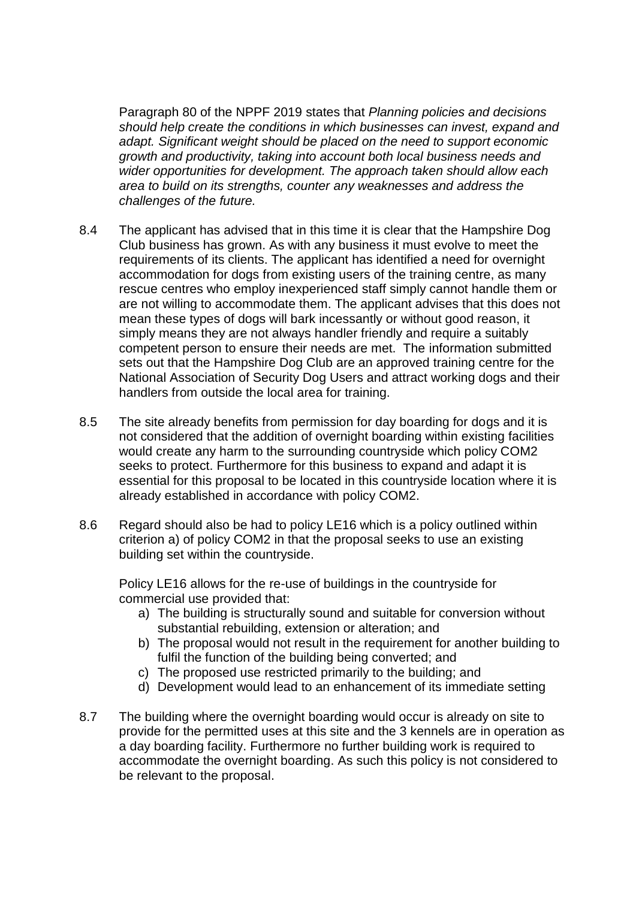Paragraph 80 of the NPPF 2019 states that *Planning policies and decisions should help create the conditions in which businesses can invest, expand and adapt. Significant weight should be placed on the need to support economic growth and productivity, taking into account both local business needs and wider opportunities for development. The approach taken should allow each area to build on its strengths, counter any weaknesses and address the challenges of the future.*

- 8.4 The applicant has advised that in this time it is clear that the Hampshire Dog Club business has grown. As with any business it must evolve to meet the requirements of its clients. The applicant has identified a need for overnight accommodation for dogs from existing users of the training centre, as many rescue centres who employ inexperienced staff simply cannot handle them or are not willing to accommodate them. The applicant advises that this does not mean these types of dogs will bark incessantly or without good reason, it simply means they are not always handler friendly and require a suitably competent person to ensure their needs are met. The information submitted sets out that the Hampshire Dog Club are an approved training centre for the National Association of Security Dog Users and attract working dogs and their handlers from outside the local area for training.
- 8.5 The site already benefits from permission for day boarding for dogs and it is not considered that the addition of overnight boarding within existing facilities would create any harm to the surrounding countryside which policy COM2 seeks to protect. Furthermore for this business to expand and adapt it is essential for this proposal to be located in this countryside location where it is already established in accordance with policy COM2.
- 8.6 Regard should also be had to policy LE16 which is a policy outlined within criterion a) of policy COM2 in that the proposal seeks to use an existing building set within the countryside.

Policy LE16 allows for the re-use of buildings in the countryside for commercial use provided that:

- a) The building is structurally sound and suitable for conversion without substantial rebuilding, extension or alteration; and
- b) The proposal would not result in the requirement for another building to fulfil the function of the building being converted; and
- c) The proposed use restricted primarily to the building; and
- d) Development would lead to an enhancement of its immediate setting
- 8.7 The building where the overnight boarding would occur is already on site to provide for the permitted uses at this site and the 3 kennels are in operation as a day boarding facility. Furthermore no further building work is required to accommodate the overnight boarding. As such this policy is not considered to be relevant to the proposal.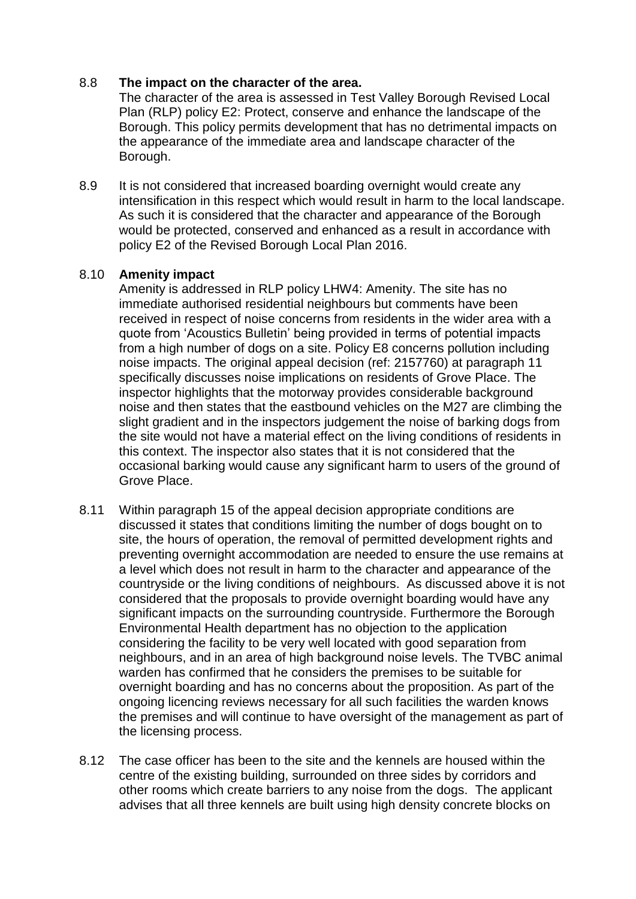### 8.8 **The impact on the character of the area.**

The character of the area is assessed in Test Valley Borough Revised Local Plan (RLP) policy E2: Protect, conserve and enhance the landscape of the Borough. This policy permits development that has no detrimental impacts on the appearance of the immediate area and landscape character of the Borough.

8.9 It is not considered that increased boarding overnight would create any intensification in this respect which would result in harm to the local landscape. As such it is considered that the character and appearance of the Borough would be protected, conserved and enhanced as a result in accordance with policy E2 of the Revised Borough Local Plan 2016.

### 8.10 **Amenity impact**

Amenity is addressed in RLP policy LHW4: Amenity. The site has no immediate authorised residential neighbours but comments have been received in respect of noise concerns from residents in the wider area with a quote from 'Acoustics Bulletin' being provided in terms of potential impacts from a high number of dogs on a site. Policy E8 concerns pollution including noise impacts. The original appeal decision (ref: 2157760) at paragraph 11 specifically discusses noise implications on residents of Grove Place. The inspector highlights that the motorway provides considerable background noise and then states that the eastbound vehicles on the M27 are climbing the slight gradient and in the inspectors judgement the noise of barking dogs from the site would not have a material effect on the living conditions of residents in this context. The inspector also states that it is not considered that the occasional barking would cause any significant harm to users of the ground of Grove Place.

- 8.11 Within paragraph 15 of the appeal decision appropriate conditions are discussed it states that conditions limiting the number of dogs bought on to site, the hours of operation, the removal of permitted development rights and preventing overnight accommodation are needed to ensure the use remains at a level which does not result in harm to the character and appearance of the countryside or the living conditions of neighbours. As discussed above it is not considered that the proposals to provide overnight boarding would have any significant impacts on the surrounding countryside. Furthermore the Borough Environmental Health department has no objection to the application considering the facility to be very well located with good separation from neighbours, and in an area of high background noise levels. The TVBC animal warden has confirmed that he considers the premises to be suitable for overnight boarding and has no concerns about the proposition. As part of the ongoing licencing reviews necessary for all such facilities the warden knows the premises and will continue to have oversight of the management as part of the licensing process.
- 8.12 The case officer has been to the site and the kennels are housed within the centre of the existing building, surrounded on three sides by corridors and other rooms which create barriers to any noise from the dogs. The applicant advises that all three kennels are built using high density concrete blocks on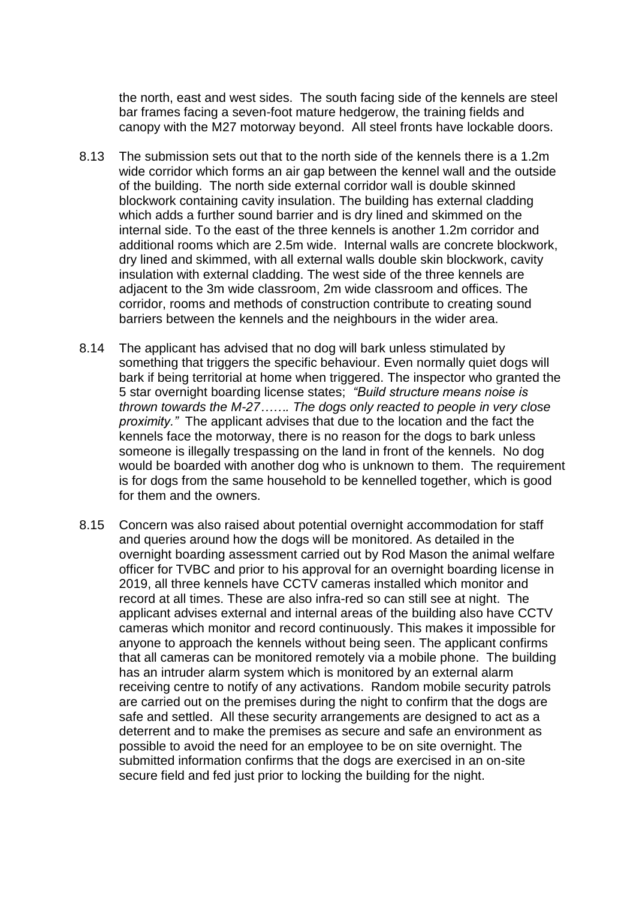the north, east and west sides. The south facing side of the kennels are steel bar frames facing a seven-foot mature hedgerow, the training fields and canopy with the M27 motorway beyond. All steel fronts have lockable doors.

- 8.13 The submission sets out that to the north side of the kennels there is a 1.2m wide corridor which forms an air gap between the kennel wall and the outside of the building. The north side external corridor wall is double skinned blockwork containing cavity insulation. The building has external cladding which adds a further sound barrier and is dry lined and skimmed on the internal side. To the east of the three kennels is another 1.2m corridor and additional rooms which are 2.5m wide. Internal walls are concrete blockwork, dry lined and skimmed, with all external walls double skin blockwork, cavity insulation with external cladding. The west side of the three kennels are adjacent to the 3m wide classroom, 2m wide classroom and offices. The corridor, rooms and methods of construction contribute to creating sound barriers between the kennels and the neighbours in the wider area.
- 8.14 The applicant has advised that no dog will bark unless stimulated by something that triggers the specific behaviour. Even normally quiet dogs will bark if being territorial at home when triggered. The inspector who granted the 5 star overnight boarding license states; *"Build structure means noise is thrown towards the M-27……. The dogs only reacted to people in very close proximity."* The applicant advises that due to the location and the fact the kennels face the motorway, there is no reason for the dogs to bark unless someone is illegally trespassing on the land in front of the kennels. No dog would be boarded with another dog who is unknown to them. The requirement is for dogs from the same household to be kennelled together, which is good for them and the owners.
- 8.15 Concern was also raised about potential overnight accommodation for staff and queries around how the dogs will be monitored. As detailed in the overnight boarding assessment carried out by Rod Mason the animal welfare officer for TVBC and prior to his approval for an overnight boarding license in 2019, all three kennels have CCTV cameras installed which monitor and record at all times. These are also infra-red so can still see at night. The applicant advises external and internal areas of the building also have CCTV cameras which monitor and record continuously. This makes it impossible for anyone to approach the kennels without being seen. The applicant confirms that all cameras can be monitored remotely via a mobile phone. The building has an intruder alarm system which is monitored by an external alarm receiving centre to notify of any activations. Random mobile security patrols are carried out on the premises during the night to confirm that the dogs are safe and settled. All these security arrangements are designed to act as a deterrent and to make the premises as secure and safe an environment as possible to avoid the need for an employee to be on site overnight. The submitted information confirms that the dogs are exercised in an on-site secure field and fed just prior to locking the building for the night.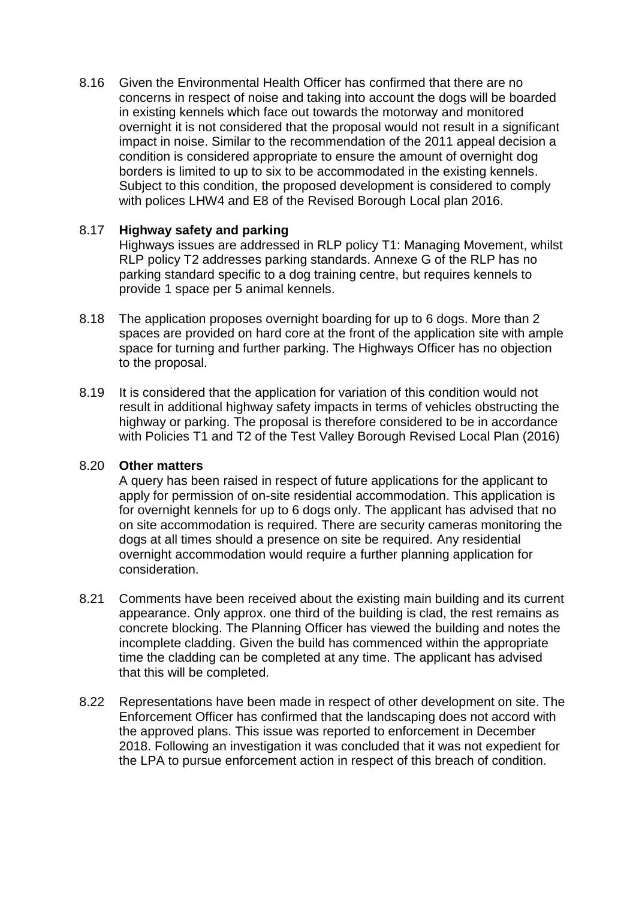8.16 Given the Environmental Health Officer has confirmed that there are no concerns in respect of noise and taking into account the dogs will be boarded in existing kennels which face out towards the motorway and monitored overnight it is not considered that the proposal would not result in a significant impact in noise. Similar to the recommendation of the 2011 appeal decision a condition is considered appropriate to ensure the amount of overnight dog borders is limited to up to six to be accommodated in the existing kennels. Subject to this condition, the proposed development is considered to comply with polices LHW4 and E8 of the Revised Borough Local plan 2016.

### 8.17 **Highway safety and parking**

Highways issues are addressed in RLP policy T1: Managing Movement, whilst RLP policy T2 addresses parking standards. Annexe G of the RLP has no parking standard specific to a dog training centre, but requires kennels to provide 1 space per 5 animal kennels.

- 8.18 The application proposes overnight boarding for up to 6 dogs. More than 2 spaces are provided on hard core at the front of the application site with ample space for turning and further parking. The Highways Officer has no objection to the proposal.
- 8.19 It is considered that the application for variation of this condition would not result in additional highway safety impacts in terms of vehicles obstructing the highway or parking. The proposal is therefore considered to be in accordance with Policies T1 and T2 of the Test Valley Borough Revised Local Plan (2016)

### 8.20 **Other matters**

A query has been raised in respect of future applications for the applicant to apply for permission of on-site residential accommodation. This application is for overnight kennels for up to 6 dogs only. The applicant has advised that no on site accommodation is required. There are security cameras monitoring the dogs at all times should a presence on site be required. Any residential overnight accommodation would require a further planning application for consideration.

- 8.21 Comments have been received about the existing main building and its current appearance. Only approx. one third of the building is clad, the rest remains as concrete blocking. The Planning Officer has viewed the building and notes the incomplete cladding. Given the build has commenced within the appropriate time the cladding can be completed at any time. The applicant has advised that this will be completed.
- 8.22 Representations have been made in respect of other development on site. The Enforcement Officer has confirmed that the landscaping does not accord with the approved plans. This issue was reported to enforcement in December 2018. Following an investigation it was concluded that it was not expedient for the LPA to pursue enforcement action in respect of this breach of condition.